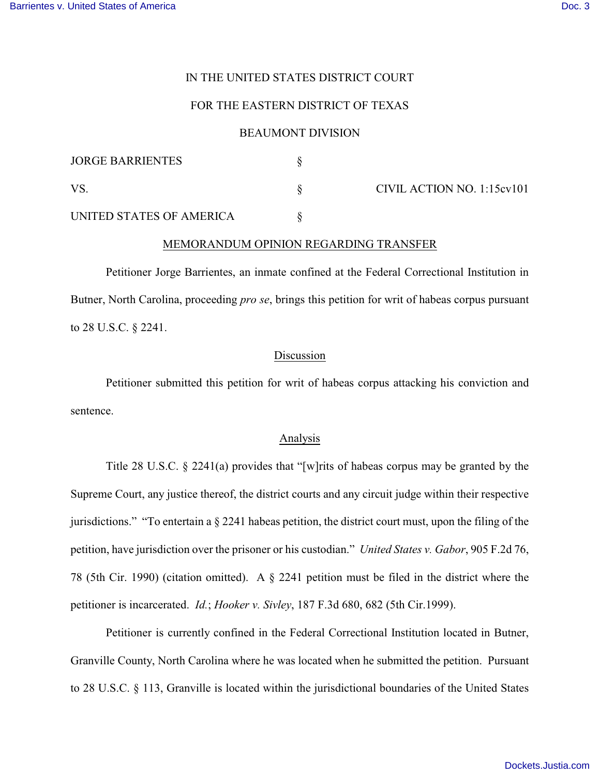# IN THE UNITED STATES DISTRICT COURT

# FOR THE EASTERN DISTRICT OF TEXAS

## BEAUMONT DIVISION

| <b>JORGE BARRIENTES</b>  |                            |
|--------------------------|----------------------------|
| VS                       | CIVIL ACTION NO. 1:15cv101 |
| UNITED STATES OF AMERICA |                            |

### MEMORANDUM OPINION REGARDING TRANSFER

Petitioner Jorge Barrientes, an inmate confined at the Federal Correctional Institution in Butner, North Carolina, proceeding *pro se*, brings this petition for writ of habeas corpus pursuant to 28 U.S.C. § 2241.

### Discussion

Petitioner submitted this petition for writ of habeas corpus attacking his conviction and sentence.

#### Analysis

Title 28 U.S.C. § 2241(a) provides that "[w]rits of habeas corpus may be granted by the Supreme Court, any justice thereof, the district courts and any circuit judge within their respective jurisdictions." "To entertain a § 2241 habeas petition, the district court must, upon the filing of the petition, have jurisdiction over the prisoner or his custodian." *United States v. Gabor*, 905 F.2d 76, 78 (5th Cir. 1990) (citation omitted). A § 2241 petition must be filed in the district where the petitioner is incarcerated. *Id.*; *Hooker v. Sivley*, 187 F.3d 680, 682 (5th Cir.1999).

Petitioner is currently confined in the Federal Correctional Institution located in Butner, Granville County, North Carolina where he was located when he submitted the petition. Pursuant to 28 U.S.C. § 113, Granville is located within the jurisdictional boundaries of the United States